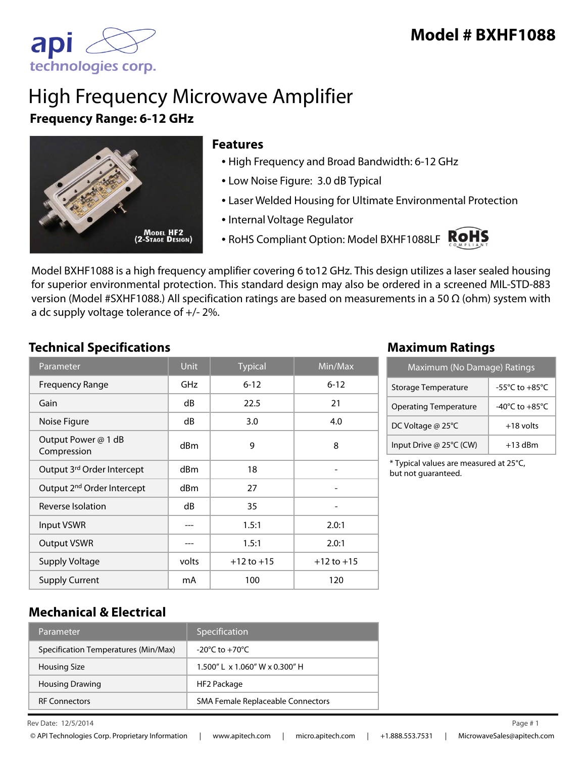

# High Frequency Microwave Amplifier **Frequency Range: 6-12 GHz**



### **Features**

- High Frequency and Broad Bandwidth: 6-12 GHz
- Low Noise Figure: 3.0 dB Typical
- Laser Welded Housing for Ultimate Environmental Protection
- Internal Voltage Regulator
- RoHS Compliant Option: Model BXHF1088LF



Model BXHF1088 is a high frequency amplifier covering 6 to12 GHz. This design utilizes a laser sealed housing for superior environmental protection. This standard design may also be ordered in a screened MIL-STD-883 version (Model #SXHF1088.) All specification ratings are based on measurements in a 50 Ω (ohm) system with a dc supply voltage tolerance of +/- 2%.

## **Technical Specifications Maximum Ratings**

| Parameter                              | <b>Unit</b> | <b>Typical</b> | Min/Max        |
|----------------------------------------|-------------|----------------|----------------|
| <b>Frequency Range</b>                 | GHz         | $6 - 12$       | $6 - 12$       |
| Gain                                   | dB          | 22.5           | 21             |
| Noise Figure                           | dB          | 3.0            | 4.0            |
| Output Power @ 1 dB<br>Compression     | dBm         | 9              | 8              |
| Output 3rd Order Intercept             | dBm         | 18             | -              |
| Output 2 <sup>nd</sup> Order Intercept | dBm         | 27             |                |
| Reverse Isolation                      | dB          | 35             | -              |
| Input VSWR                             |             | 1.5:1          | 2.0:1          |
| <b>Output VSWR</b>                     |             | 1.5:1          | 2.0:1          |
| <b>Supply Voltage</b>                  | volts       | $+12$ to $+15$ | $+12$ to $+15$ |
| <b>Supply Current</b>                  | mA          | 100            | 120            |

| Maximum (No Damage) Ratings  |                                      |  |
|------------------------------|--------------------------------------|--|
| Storage Temperature          | $-55^{\circ}$ C to $+85^{\circ}$ C   |  |
| <b>Operating Temperature</b> | -40 $^{\circ}$ C to +85 $^{\circ}$ C |  |
| DC Voltage @ 25°C            | $+18$ volts                          |  |
| Input Drive @ 25°C (CW)      | $+13$ dBm                            |  |

\* Typical values are measured at 25°C, but not guaranteed.

## **Mechanical & Electrical**

| Parameter                            | Specification                        |
|--------------------------------------|--------------------------------------|
| Specification Temperatures (Min/Max) | $-20^{\circ}$ C to $+70^{\circ}$ C   |
| <b>Housing Size</b>                  | $1.500''$   x $1.060''$ W x 0.300" H |
| <b>Housing Drawing</b>               | HF2 Package                          |
| <b>RF Connectors</b>                 | SMA Female Replaceable Connectors    |

Rev Date:  $12/5/2014$  Page # 1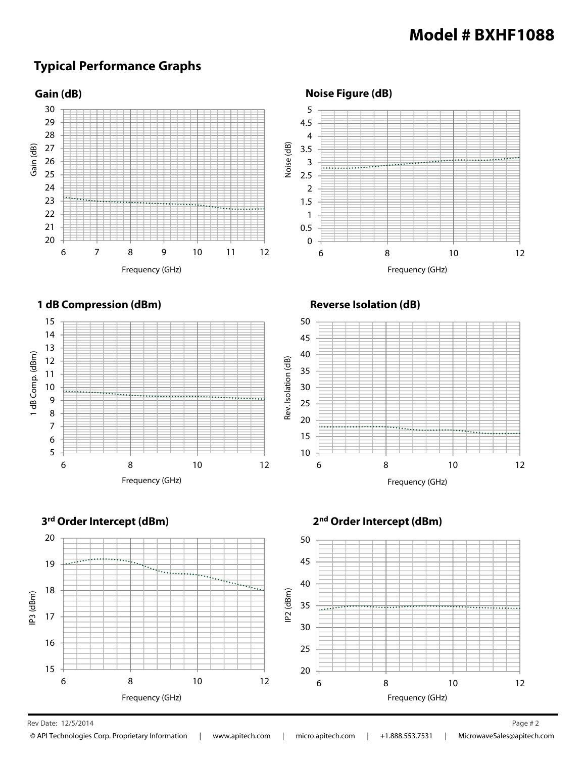## **Typical Performance Graphs**



Rev Date: 12/5/2014 Page # 2